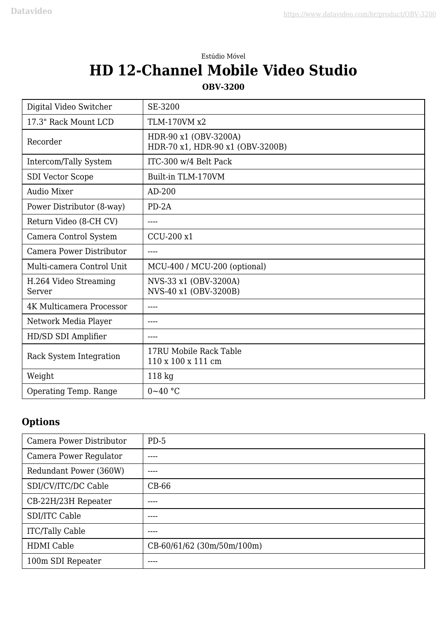## Estúdio Móvel **HD 12-Channel Mobile Video Studio**

## **OBV-3200**

| Digital Video Switcher          | SE-3200                                                   |
|---------------------------------|-----------------------------------------------------------|
| 17.3" Rack Mount LCD            | TLM-170VM x2                                              |
| Recorder                        | HDR-90 x1 (OBV-3200A)<br>HDR-70 x1, HDR-90 x1 (OBV-3200B) |
| Intercom/Tally System           | ITC-300 w/4 Belt Pack                                     |
| <b>SDI Vector Scope</b>         | Built-in TLM-170VM                                        |
| <b>Audio Mixer</b>              | AD-200                                                    |
| Power Distributor (8-way)       | $PD-2A$                                                   |
| Return Video (8-CH CV)          | $\frac{1}{2}$                                             |
| Camera Control System           | CCU-200 x1                                                |
| Camera Power Distributor        | ----                                                      |
| Multi-camera Control Unit       | MCU-400 / MCU-200 (optional)                              |
| H.264 Video Streaming<br>Server | NVS-33 x1 (OBV-3200A)<br>NVS-40 x1 (OBV-3200B)            |
| <b>4K Multicamera Processor</b> |                                                           |
| Network Media Player            | $---$                                                     |
| HD/SD SDI Amplifier             |                                                           |
| Rack System Integration         | 17RU Mobile Rack Table<br>110 x 100 x 111 cm              |
| Weight                          | $118$ kg                                                  |
| Operating Temp. Range           | $0 - 40$ °C                                               |

## **Options**

| Camera Power Distributor | $PD-5$                     |
|--------------------------|----------------------------|
| Camera Power Regulator   | ----                       |
| Redundant Power (360W)   | ----                       |
| SDI/CV/ITC/DC Cable      | $CB-66$                    |
| CB-22H/23H Repeater      | ----                       |
| SDI/ITC Cable            |                            |
| <b>ITC/Tally Cable</b>   |                            |
| <b>HDMI</b> Cable        | CB-60/61/62 (30m/50m/100m) |
| 100m SDI Repeater        |                            |